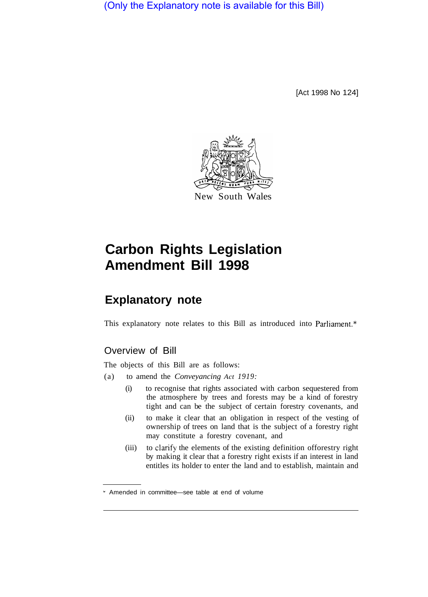(Only the Explanatory note is available for this Bill)

[Act 1998 No 124]



## **Carbon Rights Legislation Amendment Bill 1998**

## **Explanatory note**

This explanatory note relates to this Bill as introduced into Parliament.\*

## Overview of Bill

The objects of this Bill are as follows:

- (a) to amend the *Conveyancing Act 1919:* 
	- (i) to recognise that rights associated with carbon sequestered from the atmosphere by trees and forests may be a kind of forestry tight and can be the subject of certain forestry covenants, and
	- (ii) to make it clear that an obligation in respect of the vesting of ownership of trees on land that is the subject of a forestry right may constitute a forestry covenant, and
	- (iii) to clarify the elements of the existing definition of forestry right by making it clear that a forestry right exists if an interest in land entitles its holder to enter the land and to establish, maintain and

Amended in committee—see table at end of volume